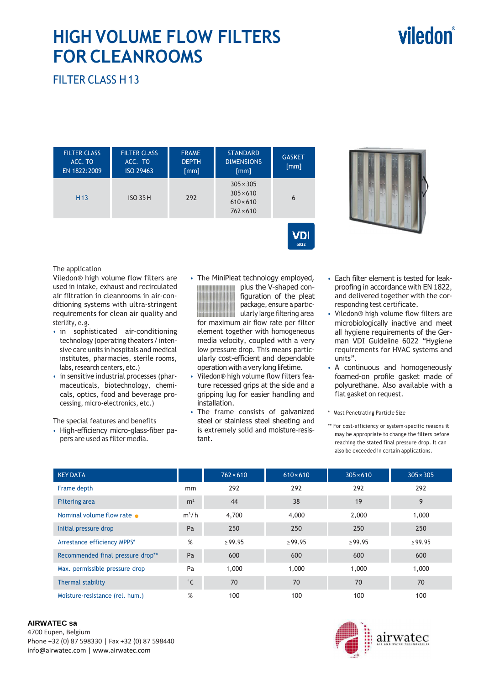# viledon

## **HIGH VOLUME FLOW FILTERS FOR CLEANROOMS**

FILTER CLASS H 13

| <b>FILTER CLASS</b><br>ACC. TO<br>EN 1822:2009 | <b>FILTER CLASS</b><br>ACC. TO<br>ISO 29463 | <b>FRAME</b><br><b>DEPTH</b><br>[mm] | <b>STANDARD</b><br><b>DIMENSIONS</b><br>[mm]                                 | <b>GASKET</b><br>[mm] |  |
|------------------------------------------------|---------------------------------------------|--------------------------------------|------------------------------------------------------------------------------|-----------------------|--|
| H <sub>13</sub>                                | <b>ISO 35 H</b>                             | 292                                  | $305 \times 305$<br>$305 \times 610$<br>$610 \times 610$<br>$762 \times 610$ | 6                     |  |



#### The application

Viledon® high volume flow filters are used in intake, exhaust and recirculated air filtration in cleanrooms in air-conditioning systems with ultra-stringent requirements for clean air quality and sterility, e. g.

- in sophisticated air-conditioning technology (operating theaters / intensive care units in hospitals and medical institutes, pharmacies, sterile rooms, labs, research centers, etc.)
- in sensitive industrial processes (pharmaceuticals, biotechnology, chemicals, optics, food and beverage processing, micro-electronics, etc.)

The special features and benefits

- High-efficiency micro-glass-fiber papers are used as filter media.
- The MiniPleat technology employed, plus the V-shaped con-*<u>ANTIQUES DE LA PRODUCTIVITAT DE LA PRODUCTIVITAT DE LA PRODUCTIVITAT DE LA PRODUCTIVITAT DE LA PRODUCTIVITAT D*</u> figuration of the pleat package, ensure a partic-**ININGRATION IN THE ULARGE OF STATE IN THE ULARGE OF THE INCH INCH INCH INCH INCH IN** for maximum air flow rate per filter element together with homogeneous media velocity, coupled with a very low pressure drop. This means particularly cost-efficient and dependable operation with a very long lifetime.

 $\sqrt{D}$ 

- Viledon® high volume flow filters feature recessed grips at the side and a gripping lug for easier handling and installation.
- The frame consists of galvanized steel or stainless steel sheeting and is extremely solid and moisture-resistant.
- Each filter element is tested for leakproofing in accordance with EN 1822, and delivered together with the corresponding test certificate.
- Viledon® high volume flow filters are microbiologically inactive and meet all hygiene requirements of the German VDI Guideline 6022 "Hygiene requirements for HVAC systems and units".
- A continuous and homogeneously foamed-on profile gasket made of polyurethane. Also available with a flat gasket on request.
- \* Most Penetrating Particle Size
- \*\* For cost-efficiency or system-specific reasons it may be appropriate to change the filters before reaching the stated final pressure drop. It can also be exceeded in certain applications.

| <b>KEY DATA</b>                   |                | $762 \times 610$ | $610 \times 610$ | $305 \times 610$ | $305 \times 305$ |
|-----------------------------------|----------------|------------------|------------------|------------------|------------------|
| Frame depth                       | mm             | 292              | 292              | 292              | 292              |
| <b>Filtering area</b>             | m <sup>2</sup> | 44               | 38               | 19               | 9                |
| Nominal volume flow rate          | $m^3/h$        | 4,700            | 4,000            | 2,000            | 1,000            |
| Initial pressure drop             | Pa             | 250              | 250              | 250              | 250              |
| Arrestance efficiency MPPS*       | %              | $\geq 99.95$     | $\ge$ 99.95      | $\ge$ 99.95      | $\ge$ 99.95      |
| Recommended final pressure drop** | Pa             | 600              | 600              | 600              | 600              |
| Max. permissible pressure drop    | Pa             | 1,000            | 1,000            | 1,000            | 1,000            |
| Thermal stability                 | $^{\circ}$ C   | 70               | 70               | 70               | 70               |
| Moisture-resistance (rel. hum.)   | %              | 100              | 100              | 100              | 100              |

#### **AIRWATEC sa**

4700 Eupen, Belgium Phone +32 (0) 87 598330 | Fax +32 (0) 87 598440 info@airwatec.com | www.airwatec.com